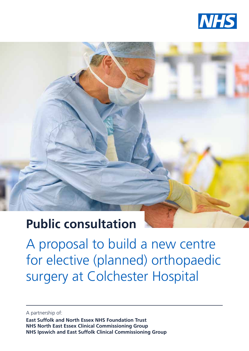

**East Additional And** 

# **North Essex Public consultation**

A proposal to build a new centre for elective (planned) orthopaedic surgery at Colchester Hospital

A partnership of: **East Suffolk and North Essex NHS Foundation Trust NHS North East Essex Clinical Commissioning Group NHS Ipswich and East Suffolk Clinical Commissioning Group**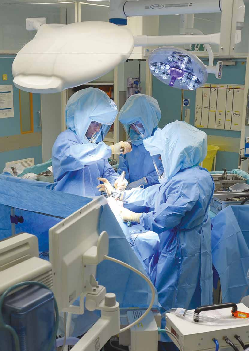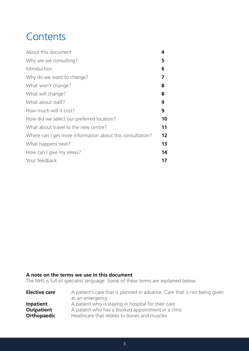# **Contents**

| About this document                                       | 4  |
|-----------------------------------------------------------|----|
| Why are we consulting?                                    | 5  |
| Introduction                                              | 6  |
| Why do we want to change?                                 | 7  |
| What won't change?                                        | 8  |
| What will change?                                         | 8  |
| What about staff?                                         | 9  |
| How much will it cost?                                    | 9  |
| How did we select our preferred location?                 | 10 |
| What about travel to the new centre?                      | 11 |
| Where can I get more information about this consultation? | 12 |
| What happens next?                                        | 13 |
| How can I give my views?                                  | 14 |
| Your feedback                                             | 17 |

### **A note on the terms we use in this document**

The NHS is full of specialist language. Some of these terms are explained below.

| <b>Elective care</b> | A patient's care that is planned in advance. Care that is not being given |
|----------------------|---------------------------------------------------------------------------|
|                      | as an emergency                                                           |
| <b>Inpatient</b>     | A patient who is staying in hospital for their care                       |
| <b>Outpatient</b>    | A patient who has a booked appointment in a clinic                        |
| <b>Orthopaedic</b>   | Healthcare that relates to bones and muscles                              |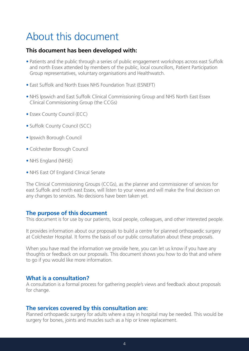# About this document

### **This document has been developed with:**

- Patients and the public through a series of public engagement workshops across east Suffolk and north Essex attended by members of the public, local councillors, Patient Participation Group representatives, voluntary organisations and Healthwatch.
- East Suffolk and North Essex NHS Foundation Trust (ESNEFT)
- NHS Ipswich and East Suffolk Clinical Commissioning Group and NHS North East Essex Clinical Commissioning Group (the CCGs)
- Essex County Council (ECC)
- Suffolk County Council (SCC)
- Ipswich Borough Council
- Colchester Borough Council
- NHS England (NHSE)
- NHS East Of England Clinical Senate

The Clinical Commissioning Groups (CCGs), as the planner and commissioner of services for east Suffolk and north east Essex, will listen to your views and will make the final decision on any changes to services. No decisions have been taken yet.

### **The purpose of this document**

This document is for use by our patients, local people, colleagues, and other interested people.

It provides information about our proposals to build a centre for planned orthopaedic surgery at Colchester Hospital. It forms the basis of our public consultation about these proposals.

When you have read the information we provide here, you can let us know if you have any thoughts or feedback on our proposals. This document shows you how to do that and where to go if you would like more information.

### **What is a consultation?**

A consultation is a formal process for gathering people's views and feedback about proposals for change.

### **The services covered by this consultation are:**

Planned orthopaedic surgery for adults where a stay in hospital may be needed. This would be surgery for bones, joints and muscles such as a hip or knee replacement.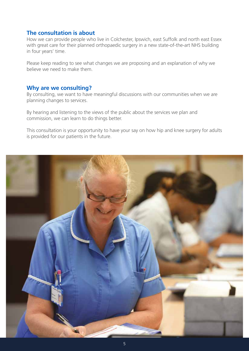### **The consultation is about**

How we can provide people who live in Colchester, Ipswich, east Suffolk and north east Essex with great care for their planned orthopaedic surgery in a new state-of-the-art NHS building in four years' time.

Please keep reading to see what changes we are proposing and an explanation of why we believe we need to make them.

### **Why are we consulting?**

By consulting, we want to have meaningful discussions with our communities when we are planning changes to services.

By hearing and listening to the views of the public about the services we plan and commission, we can learn to do things better.

This consultation is your opportunity to have your say on how hip and knee surgery for adults is provided for our patients in the future.

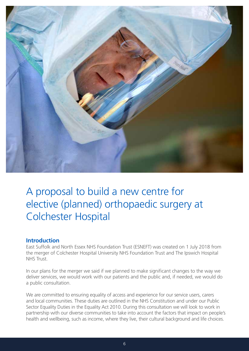

# A proposal to build a new centre for elective (planned) orthopaedic surgery at Colchester Hospital

### **Introduction**

East Suffolk and North Essex NHS Foundation Trust (ESNEFT) was created on 1 July 2018 from the merger of Colchester Hospital University NHS Foundation Trust and The Ipswich Hospital NHS Trust.

In our plans for the merger we said if we planned to make significant changes to the way we deliver services, we would work with our patients and the public and, if needed, we would do a public consultation.

We are committed to ensuring equality of access and experience for our service users, carers and local communities. These duties are outlined in the NHS Constitution and under our Public Sector Equality Duties in the Equality Act 2010. During this consultation we will look to work in partnership with our diverse communities to take into account the factors that impact on people's health and wellbeing, such as income, where they live, their cultural background and life choices.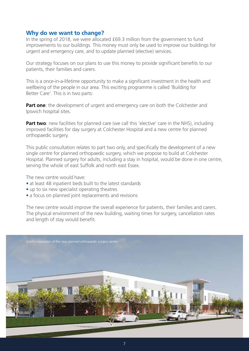### **Why do we want to change?**

In the spring of 2018, we were allocated £69.3 million from the government to fund improvements to our buildings. This money must only be used to improve our buildings for urgent and emergency care, and to update planned (elective) services.

Our strategy focuses on our plans to use this money to provide significant benefits to our patients, their families and carers.

This is a once-in-a-lifetime opportunity to make a significant investment in the health and wellbeing of the people in our area. This exciting programme is called 'Building for Better Care'. This is in two parts:

**Part one**: the development of urgent and emergency care on both the Colchester and Ipswich hospital sites.

**Part two**: new facilities for planned care (we call this 'elective' care in the NHS), including improved facilities for day surgery at Colchester Hospital and a new centre for planned orthopaedic surgery.

This public consultation relates to part two only, and specifically the development of a new single centre for planned orthopaedic surgery, which we propose to build at Colchester Hospital. Planned surgery for adults, including a stay in hospital, would be done in one centre, serving the whole of east Suffolk and north east Essex.

The new centre would have:

- at least 48 inpatient beds built to the latest standards
- up to six new specialist operating theatres
- a focus on planned joint replacements and revisions

The new centre would improve the overall experience for patients, their families and carers. The physical environment of the new building, waiting times for surgery, cancellation rates and length of stay would benefit.

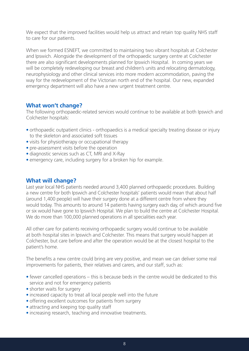We expect that the improved facilities would help us attract and retain top quality NHS staff to care for our patients.

When we formed ESNEFT, we committed to maintaining two vibrant hospitals at Colchester and Ipswich. Alongside the development of the orthopaedic surgery centre at Colchester there are also significant developments planned for Ipswich Hospital. In coming years we will be completely redeveloping our breast and children's units and relocating dermatology, neurophysiology and other clinical services into more modern accommodation, paving the way for the redevelopment of the Victorian north end of the hospital. Our new, expanded emergency department will also have a new urgent treatment centre.

### **What won't change?**

The following orthopaedic-related services would continue to be available at both Ipswich and Colchester hospitals:

- orthopaedic outpatient clinics orthopaedics is a medical specialty treating disease or injury to the skeleton and associated soft tissues
- visits for physiotherapy or occupational therapy
- pre-assessment visits before the operation
- diagnostic services such as CT, MRI and X-Ray
- emergency care, including surgery for a broken hip for example.

### **What will change?**

Last year local NHS patients needed around 3,400 planned orthopaedic procedures. Building a new centre for both Ipswich and Colchester hospitals' patients would mean that about half (around 1,400 people) will have their surgery done at a different centre from where they would today. This amounts to around 14 patients having surgery each day, of which around five or six would have gone to Ipswich Hospital. We plan to build the centre at Colchester Hospital. We do more than 100,000 planned operations in all specialities each year.

All other care for patients receiving orthopaedic surgery would continue to be available at both hospital sites in Ipswich and Colchester. This means that surgery would happen at Colchester, but care before and after the operation would be at the closest hospital to the patient's home.

The benefits a new centre could bring are very positive, and mean we can deliver some real improvements for patients, their relatives and carers, and our staff, such as:

- fewer cancelled operations this is because beds in the centre would be dedicated to this service and not for emergency patients
- shorter waits for surgery
- increased capacity to treat all local people well into the future
- offering excellent outcomes for patients from surgery
- attracting and keeping top quality staff
- increasing research, teaching and innovative treatments.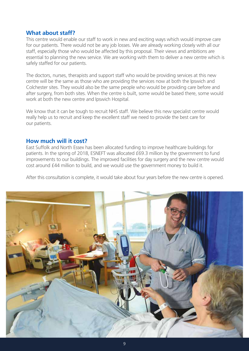### **What about staff?**

This centre would enable our staff to work in new and exciting ways which would improve care for our patients. There would not be any job losses. We are already working closely with all our staff, especially those who would be affected by this proposal. Their views and ambitions are essential to planning the new service. We are working with them to deliver a new centre which is safely staffed for our patients.

The doctors, nurses, therapists and support staff who would be providing services at this new centre will be the same as those who are providing the services now at both the Ipswich and Colchester sites. They would also be the same people who would be providing care before and after surgery, from both sites. When the centre is built, some would be based there, some would work at both the new centre and Ipswich Hospital.

We know that it can be tough to recruit NHS staff. We believe this new specialist centre would really help us to recruit and keep the excellent staff we need to provide the best care for our patients.

### **How much will it cost?**

East Suffolk and North Essex has been allocated funding to improve healthcare buildings for patients. In the spring of 2018, ESNEFT was allocated £69.3 million by the government to fund improvements to our buildings. The improved facilities for day surgery and the new centre would cost around £44 million to build, and we would use the government money to build it.

After this consultation is complete, it would take about four years before the new centre is opened.

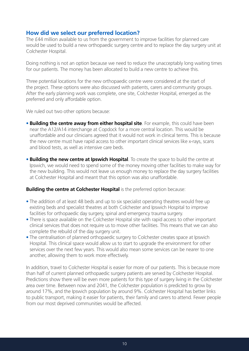### **How did we select our preferred location?**

The £44 million available to us from the government to improve facilities for planned care would be used to build a new orthopaedic surgery centre and to replace the day surgery unit at Colchester Hospital.

Doing nothing is not an option because we need to reduce the unacceptably long waiting times for our patients. The money has been allocated to build a new centre to achieve this.

Three potential locations for the new orthopaedic centre were considered at the start of the project. These options were also discussed with patients, carers and community groups. After the early planning work was complete, one site, Colchester Hospital, emerged as the preferred and only affordable option.

We ruled out two other options because:

- **Building the centre away from either hospital site**. For example, this could have been near the A12/A14 interchange at Copdock for a more central location. This would be unaffordable and our clinicians agreed that it would not work in clinical terms. This is because the new centre must have rapid access to other important clinical services like x-rays, scans and blood tests, as well as intensive care beds.
- **Building the new centre at Ipswich Hospital**. To create the space to build the centre at Ipswich, we would need to spend some of the money moving other facilities to make way for the new building. This would not leave us enough money to replace the day surgery facilities at Colchester Hospital and meant that this option was also unaffordable.

### **Building the centre at Colchester Hospital** is the preferred option because:

- The addition of at least 48 beds and up to six specialist operating theatres would free up existing beds and specialist theatres at both Colchester and Ipswich Hospital to improve facilities for orthopaedic day surgery, spinal and emergency trauma surgery.
- There is space available on the Colchester Hospital site with rapid access to other important clinical services that does not require us to move other facilities. This means that we can also complete the rebuild of the day surgery unit.
- The centralisation of planned orthopaedic surgery to Colchester creates space at Ipswich Hospital. This clinical space would allow us to start to upgrade the environment for other services over the next few years. This would also mean some services can be nearer to one another, allowing them to work more effectively.

In addition, travel to Colchester Hospital is easier for more of our patients. This is because more than half of current planned orthopaedic surgery patients are served by Colchester Hospital. Predictions show there will be even more patients for this type of surgery living in the Colchester area over time. Between now and 2041, the Colchester population is predicted to grow by around 17%, and the Ipswich population by around 9%. Colchester Hospital has better links to public transport, making it easier for patients, their family and carers to attend. Fewer people from our most deprived communities would be affected.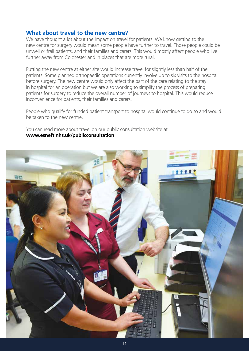### **What about travel to the new centre?**

We have thought a lot about the impact on travel for patients. We know getting to the new centre for surgery would mean some people have further to travel. Those people could be unwell or frail patients, and their families and carers. This would mostly affect people who live further away from Colchester and in places that are more rural.

Putting the new centre at either site would increase travel for slightly less than half of the patients. Some planned orthopaedic operations currently involve up to six visits to the hospital before surgery. The new centre would only affect the part of the care relating to the stay in hospital for an operation but we are also working to simplify the process of preparing patients for surgery to reduce the overall number of journeys to hospital. This would reduce inconvenience for patients, their families and carers.

People who qualify for funded patient transport to hospital would continue to do so and would be taken to the new centre.

You can read more about travel on our public consultation website at **www.esneft.nhs.uk/publicconsultation** 

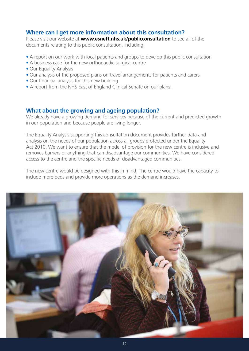### **Where can I get more information about this consultation?**

Please visit our website at **www.esneft.nhs.uk/publicconsultation** to see all of the documents relating to this public consultation, including:

- A report on our work with local patients and groups to develop this public consultation
- A business case for the new orthopaedic surgical centre
- Our Equality Analysis
- Our analysis of the proposed plans on travel arrangements for patients and carers
- Our financial analysis for this new building
- A report from the NHS East of England Clinical Senate on our plans.

### **What about the growing and ageing population?**

We already have a growing demand for services because of the current and predicted growth in our population and because people are living longer.

The Equality Analysis supporting this consultation document provides further data and analysis on the needs of our population across all groups protected under the Equality Act 2010. We want to ensure that the model of provision for the new centre is inclusive and removes barriers or anything that can disadvantage our communities. We have considered access to the centre and the specific needs of disadvantaged communities.

The new centre would be designed with this in mind. The centre would have the capacity to include more beds and provide more operations as the demand increases.

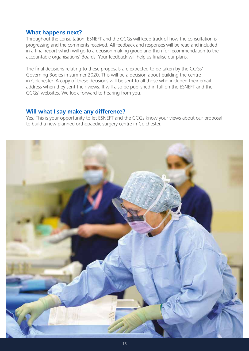### **What happens next?**

Throughout the consultation, ESNEFT and the CCGs will keep track of how the consultation is progressing and the comments received. All feedback and responses will be read and included in a final report which will go to a decision making group and then for recommendation to the accountable organisations' Boards. Your feedback will help us finalise our plans.

The final decisions relating to these proposals are expected to be taken by the CCGs' Governing Bodies in summer 2020. This will be a decision about building the centre in Colchester. A copy of these decisions will be sent to all those who included their email address when they sent their views. It will also be published in full on the ESNEFT and the CCGs' websites. We look forward to hearing from you.

### **Will what I say make any difference?**

Yes. This is your opportunity to let ESNEFT and the CCGs know your views about our proposal to build a new planned orthopaedic surgery centre in Colchester.

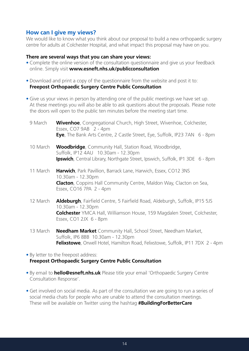### **How can I give my views?**

We would like to know what you think about our proposal to build a new orthopaedic surgery centre for adults at Colchester Hospital, and what impact this proposal may have on you.

### **There are several ways that you can share your views:**

- Complete the online version of the consultation questionnaire and give us your feedback online. Simply visit **www.esneft.nhs.uk/publicconsultation**
- Download and print a copy of the questionnaire from the website and post it to: **Freepost Orthopaedic Surgery Centre Public Consultation**
- Give us your views in person by attending one of the public meetings we have set up. At these meetings you will also be able to ask questions about the proposals. Please note the doors will open to the public ten minutes before the meeting start time.
	- 9 March **Wivenhoe**, Congregational Church, High Street, Wivenhoe, Colchester, Essex, CO7 9AB 2 - 4pm **Eye**, The Bank Arts Centre, 2 Castle Street, Eye, Suffolk, IP23 7AN 6 - 8pm
	- 10 March **Woodbridge**, Community Hall, Station Road, Woodbridge, Suffolk, IP12 4AU 10.30am - 12.30pm **Ipswich**, Central Library, Northgate Street, Ipswich, Suffolk, IP1 3DE 6 - 8pm
	- 11 March **Harwich**, Park Pavillion, Barrack Lane, Harwich, Essex, CO12 3NS 10.30am - 12.30pm **Clacton**, Coppins Hall Community Centre, Maldon Way, Clacton on Sea, Essex, CO16 7PA 2 - 4pm
	- 12 March **Aldeburgh**, Fairfield Centre, 5 Fairfield Road, Aldeburgh, Suffolk, IP15 5JS 10.30am - 12.30pm **Colchester** YMCA Hall, Williamson House, 159 Magdalen Street, Colchester, Essex, CO1 2JX 6 - 8pm
	- 13 March **Needham Market** Community Hall, School Street, Needham Market, Suffolk, IP6 8BB 10.30am - 12.30pm **Felixstowe**, Orwell Hotel, Hamilton Road, Felixstowe, Suffolk, IP11 7DX 2 - 4pm
- By letter to the freepost address: **Freepost Orthopaedic Surgery Centre Public Consultation**
- By email to **hello@esneft.nhs.uk** Please title your email 'Orthopaedic Surgery Centre Consultation Response'.
- Get involved on social media. As part of the consultation we are going to run a series of social media chats for people who are unable to attend the consultation meetings. These will be available on Twitter using the hashtag **#BuildingForBetterCare**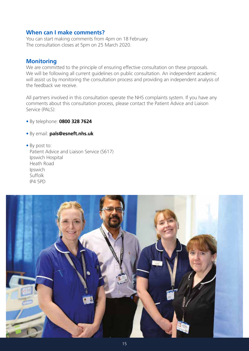### **When can I make comments?**

You can start making comments from 4pm on 18 February. The consultation closes at 5pm on 25 March 2020.

### **Monitoring**

We are committed to the principle of ensuring effective consultation on these proposals. We will be following all current guidelines on public consultation. An independent academic will assist us by monitoring the consultation process and providing an independent analysis of the feedback we receive.

All partners involved in this consultation operate the NHS complaints system. If you have any comments about this consultation process, please contact the Patient Advice and Liaison Service (PALS):

- By telephone: **0800 328 7624**
- By email: **pals@esneft.nhs.uk**
- By post to: Patient Advice and Liaison Service (S617) Ipswich Hospital Heath Road Ipswich Suffolk IP4 5PD

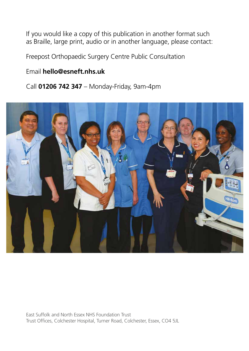If you would like a copy of this publication in another format such as Braille, large print, audio or in another language, please contact:

Freepost Orthopaedic Surgery Centre Public Consultation

# Email **hello@esneft.nhs.uk**

Call **01206 742 347** – Monday-Friday, 9am-4pm



East Suffolk and North Essex NHS Foundation Trust Trust Offices, Colchester Hospital, Turner Road, Colchester, Essex, CO4 5JL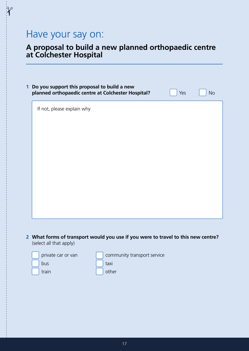# Have your say on:

 $\mathcal{P}$ 

## **A proposal to build a new planned orthopaedic centre at Colchester Hospital**

| 1 Do you support this proposal to build a new<br>planned orthopaedic centre at Colchester Hospital? | Yes | <b>No</b> |
|-----------------------------------------------------------------------------------------------------|-----|-----------|
| If not, please explain why                                                                          |     |           |
|                                                                                                     |     |           |
|                                                                                                     |     |           |
|                                                                                                     |     |           |

**2 What forms of transport would you use if you were to travel to this new centre?** (select all that apply)

| private car or van | $\log$ community transport service |
|--------------------|------------------------------------|
| bus                | taxi                               |
| train              | other                              |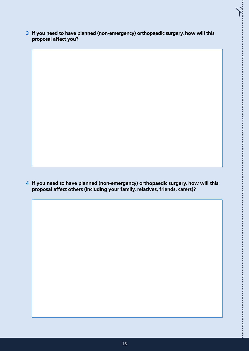**3 If you need to have planned (non-emergency) orthopaedic surgery, how will this proposal affect you?** 

!

**4 If you need to have planned (non-emergency) orthopaedic surgery, how will this proposal affect others (including your family, relatives, friends, carers)?**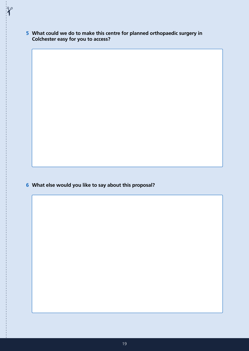**5 What could we do to make this centre for planned orthopaedic surgery in Colchester easy for you to access?**

 $\mathcal{P}$ 

### **6 What else would you like to say about this proposal?**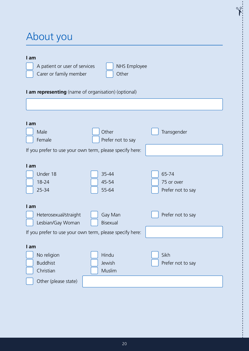# About you

| I am<br>A patient or user of services<br>NHS Employee<br>Carer or family member<br>Other<br>I am representing (name of organisation) (optional) |                                          |  |  |  |
|-------------------------------------------------------------------------------------------------------------------------------------------------|------------------------------------------|--|--|--|
|                                                                                                                                                 |                                          |  |  |  |
|                                                                                                                                                 |                                          |  |  |  |
| I am<br>Other<br>Male<br>Female<br>Prefer not to say                                                                                            | Transgender                              |  |  |  |
| If you prefer to use your own term, please specify here:                                                                                        |                                          |  |  |  |
| I am<br>Under 18<br>35-44<br>45-54<br>18-24<br>25-34<br>55-64                                                                                   | 65-74<br>75 or over<br>Prefer not to say |  |  |  |
| I am<br>Heterosexual/straight<br>Gay Man<br><b>Bisexual</b><br>Lesbian/Gay Woman<br>If you prefer to use your own term, please specify here:    | Prefer not to say                        |  |  |  |
|                                                                                                                                                 |                                          |  |  |  |
| I am<br>Hindu<br>No religion<br><b>Buddhist</b><br>Jewish<br>Muslim<br>Christian<br>Other (please state)                                        | Sikh<br>Prefer not to say                |  |  |  |

 $\mathbf{P}_{i}^{2}$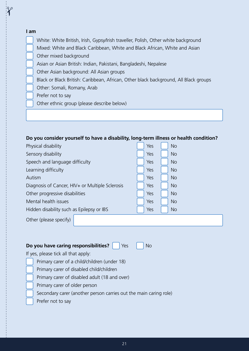### **I am**

 $\gamma$ 

White: White British, Irish, Gypsy/Irish traveller, Polish, Other white background

Mixed: White and Black Caribbean, White and Black African, White and Asian Other mixed background

Asian or Asian British: Indian, Pakistani, Bangladeshi, Nepalese

Other Asian background: All Asian groups

Black or Black British: Caribbean, African, Other black background, All Black groups

Other: Somali, Romany, Arab

Prefer not to say

Other ethnic group (please describe below)

### **Do you consider yourself to have a disability, long-term illness or health condition?**

| Physical disability                             | Yes | <b>No</b> |
|-------------------------------------------------|-----|-----------|
| Sensory disability                              | Yes | <b>No</b> |
| Speech and language difficulty                  | Yes | <b>No</b> |
| Learning difficulty                             | Yes | <b>No</b> |
| Autism                                          | Yes | <b>No</b> |
| Diagnosis of Cancer, HIV+ or Multiple Sclerosis | Yes | <b>No</b> |
| Other progressive disabilities                  | Yes | <b>No</b> |
| Mental health issues                            | Yes | <b>No</b> |
| Hidden disability such as Epilepsy or IBS       | Yes | <b>No</b> |
|                                                 |     |           |

Other (please specify)

### **Do you have caring responsibilities?** Yes No

If yes, please tick all that apply:

- Primary carer of a child/children (under 18)
- Primary carer of disabled child/children
- Primary carer of disabled adult (18 and over)
- Primary carer of older person

Secondary carer (another person carries out the main caring role)

Prefer not to say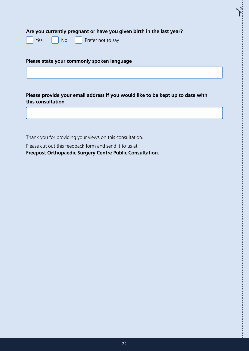| Are you currently pregnant or have you given birth in the last year? |  |  |  |
|----------------------------------------------------------------------|--|--|--|
|                                                                      |  |  |  |

 $\gamma$ 

Yes  $\bigcap$  No  $\bigcap$  Prefer not to say

**Please state your commonly spoken language** 

**Please provide your email address if you would like to be kept up to date with this consultation**

Thank you for providing your views on this consultation.

Please cut out this feedback form and send it to us at **Freepost Orthopaedic Surgery Centre Public Consultation.**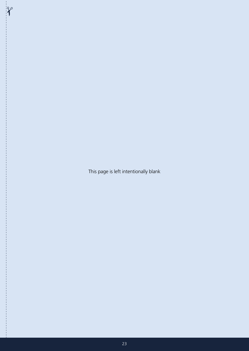This page is left intentionally blank

 $\mathcal{C}$